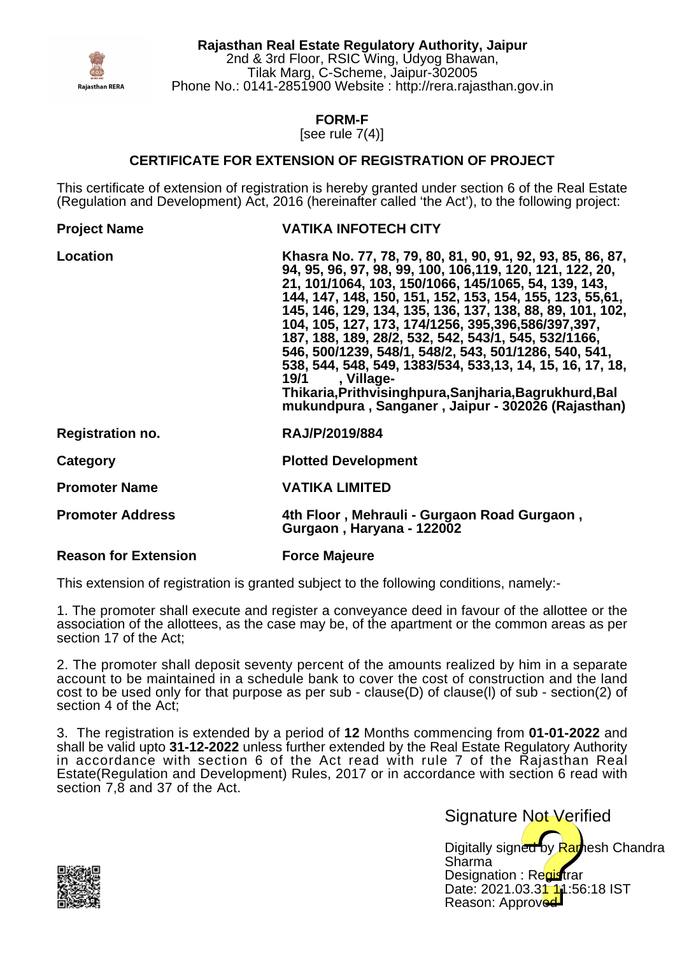

**Rajasthan Real Estate Regulatory Authority, Jaipur** 2nd & 3rd Floor, RSIC Wing, Udyog Bhawan, Tilak Marg, C-Scheme, Jaipur-302005 Phone No.: 0141-2851900 Website : http://rera.rajasthan.gov.in

**FORM-F**

[see rule 7(4)]

## **CERTIFICATE FOR EXTENSION OF REGISTRATION OF PROJECT**

This certificate of extension of registration is hereby granted under section 6 of the Real Estate (Regulation and Development) Act, 2016 (hereinafter called 'the Act'), to the following project:

| <b>Project Name</b>         | <b>VATIKA INFOTECH CITY</b>                                                                                                                                                                                                                                                                                                                                                                                                                                                                                                                                                                                                                                                     |
|-----------------------------|---------------------------------------------------------------------------------------------------------------------------------------------------------------------------------------------------------------------------------------------------------------------------------------------------------------------------------------------------------------------------------------------------------------------------------------------------------------------------------------------------------------------------------------------------------------------------------------------------------------------------------------------------------------------------------|
| <b>Location</b>             | Khasra No. 77, 78, 79, 80, 81, 90, 91, 92, 93, 85, 86, 87,<br>94, 95, 96, 97, 98, 99, 100, 106, 119, 120, 121, 122, 20,<br>21, 101/1064, 103, 150/1066, 145/1065, 54, 139, 143,<br>144, 147, 148, 150, 151, 152, 153, 154, 155, 123, 55,61,<br>145, 146, 129, 134, 135, 136, 137, 138, 88, 89, 101, 102,<br>104, 105, 127, 173, 174/1256, 395,396,586/397,397,<br>187, 188, 189, 28/2, 532, 542, 543/1, 545, 532/1166,<br>546, 500/1239, 548/1, 548/2, 543, 501/1286, 540, 541,<br>538, 544, 548, 549, 1383/534, 533, 13, 14, 15, 16, 17, 18,<br>19/1 , Village-<br>Thikaria, Prithvisinghpura, Sanjharia, Bagrukhurd, Bal<br>mukundpura, Sanganer, Jaipur - 302026 (Rajasthan) |
| <b>Registration no.</b>     | RAJ/P/2019/884                                                                                                                                                                                                                                                                                                                                                                                                                                                                                                                                                                                                                                                                  |
| Category                    | <b>Plotted Development</b>                                                                                                                                                                                                                                                                                                                                                                                                                                                                                                                                                                                                                                                      |
| <b>Promoter Name</b>        | <b>VATIKA LIMITED</b>                                                                                                                                                                                                                                                                                                                                                                                                                                                                                                                                                                                                                                                           |
| <b>Promoter Address</b>     | 4th Floor, Mehrauli - Gurgaon Road Gurgaon,<br>Gurgaon, Haryana - 122002                                                                                                                                                                                                                                                                                                                                                                                                                                                                                                                                                                                                        |
| <b>Reason for Extension</b> | <b>Force Majeure</b>                                                                                                                                                                                                                                                                                                                                                                                                                                                                                                                                                                                                                                                            |

This extension of registration is granted subject to the following conditions, namely:-

1. The promoter shall execute and register a conveyance deed in favour of the allottee or the association of the allottees, as the case may be, of the apartment or the common areas as per section 17 of the Act;

2. The promoter shall deposit seventy percent of the amounts realized by him in a separate account to be maintained in a schedule bank to cover the cost of construction and the land cost to be used only for that purpose as per sub - clause(D) of clause(l) of sub - section(2) of section 4 of the Act;

3. The registration is extended by a period of **12** Months commencing from **01-01-2022** and shall be valid upto **31-12-2022** unless further extended by the Real Estate Regulatory Authority in accordance with section 6 of the Act read with rule 7 of the Rajasthan Real Estate(Regulation and Development) Rules, 2017 or in accordance with section 6 read with section 7,8 and 37 of the Act.

> Digitally signed by Ramesh Chandra Sharma Designation : Requatrar Date: 2021.03.31 11:56:18 IST Reason: Approved Signature Not Verified